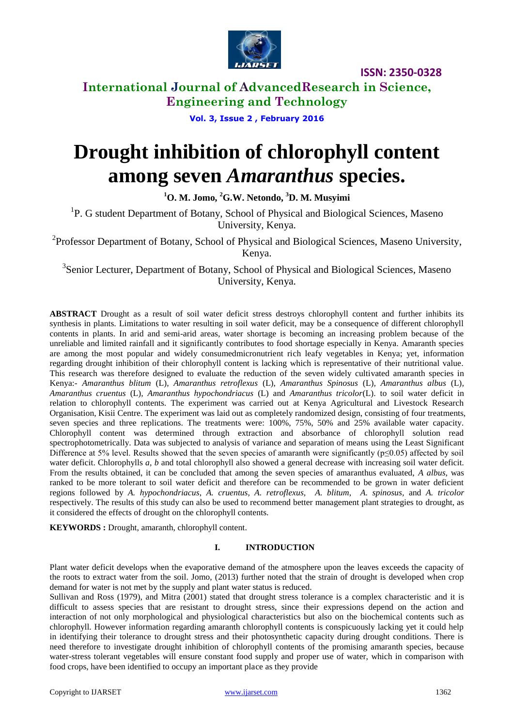

### **International Journal of AdvancedResearch in Science, Engineering and Technology**

**Vol. 3, Issue 2 , February 2016**

# **Drought inhibition of chlorophyll content among seven** *Amaranthus* **species.**

**<sup>1</sup>O. M. Jomo, <sup>2</sup>G.W. Netondo, <sup>3</sup>D. M. Musyimi**

<sup>1</sup>P. G student Department of Botany, School of Physical and Biological Sciences, Maseno University, Kenya.

<sup>2</sup>Professor Department of Botany, School of Physical and Biological Sciences, Maseno University, Kenya.

<sup>3</sup>Senior Lecturer, Department of Botany, School of Physical and Biological Sciences, Maseno University, Kenya.

**ABSTRACT** Drought as a result of soil water deficit stress destroys chlorophyll content and further inhibits its synthesis in plants. Limitations to water resulting in soil water deficit, may be a consequence of different chlorophyll contents in plants. In arid and semi-arid areas, water shortage is becoming an increasing problem because of the unreliable and limited rainfall and it significantly contributes to food shortage especially in Kenya. Amaranth species are among the most popular and widely consumedmicronutrient rich leafy vegetables in Kenya; yet, information regarding drought inhibition of their chlorophyll content is lacking which is representative of their nutritional value. This research was therefore designed to evaluate the reduction of the seven widely cultivated amaranth species in Kenya:- *Amaranthus blitum* (L), *Amaranthus retroflexus* (L), *Amaranthus Spinosus* (L)*, Amaranthus albus* (L)*, Amaranthus cruentus* (L)*, Amaranthus hypochondriacus* (L) and *Amaranthus tricolor*(L). to soil water deficit in relation to chlorophyll contents. The experiment was carried out at Kenya Agricultural and Livestock Research Organisation, Kisii Centre. The experiment was laid out as completely randomized design, consisting of four treatments, seven species and three replications. The treatments were: 100%, 75%, 50% and 25% available water capacity. Chlorophyll content was determined through extraction and absorbance of chlorophyll solution read spectrophotometrically. Data was subjected to analysis of variance and separation of means using the Least Significant Difference at 5% level. Results showed that the seven species of amaranth were significantly ( $p≤0.05$ ) affected by soil water deficit. Chlorophylls *a, b* and total chlorophyll also showed a general decrease with increasing soil water deficit. From the results obtained, it can be concluded that among the seven species of amaranthus evaluated, *A albus,* was ranked to be more tolerant to soil water deficit and therefore can be recommended to be grown in water deficient regions followed by *A. hypochondriacus*, *A. cruentus, A. retroflexus, A. blitum*, *A. spinosus,* and *A. tricolor* respectively. The results of this study can also be used to recommend better management plant strategies to drought, as it considered the effects of drought on the chlorophyll contents.

**KEYWORDS :** Drought, amaranth, chlorophyll content.

### **I. INTRODUCTION**

Plant water deficit develops when the evaporative demand of the atmosphere upon the leaves exceeds the capacity of the roots to extract water from the soil. Jomo, (2013) further noted that the strain of drought is developed when crop demand for water is not met by the supply and plant water status is reduced.

Sullivan and Ross (1979), and Mitra (2001) stated that drought stress tolerance is a complex characteristic and it is difficult to assess species that are resistant to drought stress, since their expressions depend on the action and interaction of not only morphological and physiological characteristics but also on the biochemical contents such as chlorophyll. However information regarding amaranth chlorophyll contents is conspicuously lacking yet it could help in identifying their tolerance to drought stress and their photosynthetic capacity during drought conditions. There is need therefore to investigate drought inhibition of chlorophyll contents of the promising amaranth species, because water-stress tolerant vegetables will ensure constant food supply and proper use of water, which in comparison with food crops, have been identified to occupy an important place as they provide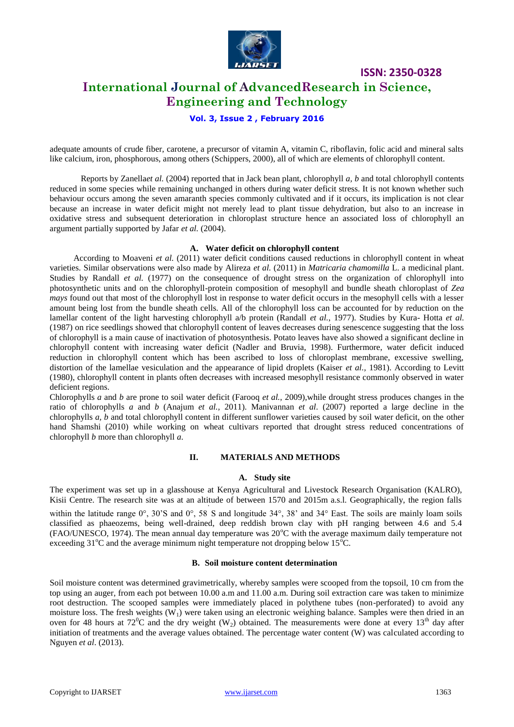

**International Journal of AdvancedResearch in Science, Engineering and Technology**

**Vol. 3, Issue 2 , February 2016**

adequate amounts of crude fiber, carotene, a precursor of vitamin A, vitamin C, riboflavin, folic acid and mineral salts like calcium, iron, phosphorous, among others (Schippers, 2000), all of which are elements of chlorophyll content.

Reports by Zanella*et al.* (2004) reported that in Jack bean plant, chlorophyll *a, b* and total chlorophyll contents reduced in some species while remaining unchanged in others during water deficit stress. It is not known whether such behaviour occurs among the seven amaranth species commonly cultivated and if it occurs, its implication is not clear because an increase in water deficit might not merely lead to plant tissue dehydration, but also to an increase in oxidative stress and subsequent deterioration in chloroplast structure hence an associated loss of chlorophyll an argument partially supported by Jafar *et al.* (2004).

### **A. Water deficit on chlorophyll content**

 According to Moaveni *et al.* (2011) water deficit conditions caused reductions in chlorophyll content in wheat varieties. Similar observations were also made by Alireza *et al.* (2011) in *Matricaria chamomilla* L. a medicinal plant. Studies by Randall *et al.* (1977) on the consequence of drought stress on the organization of chlorophyll into photosynthetic units and on the chlorophyll-protein composition of mesophyll and bundle sheath chloroplast of *Zea mays* found out that most of the chlorophyll lost in response to water deficit occurs in the mesophyll cells with a lesser amount being lost from the bundle sheath cells. All of the chlorophyll loss can be accounted for by reduction on the lamellar content of the light harvesting chlorophyll a/b protein (Randall *et al.*, 1977). Studies by Kura- Hotta *et al.*  (1987) on rice seedlings showed that chlorophyll content of leaves decreases during senescence suggesting that the loss of chlorophyll is a main cause of inactivation of photosynthesis. Potato leaves have also showed a significant decline in chlorophyll content with increasing water deficit (Nadler and Bruvia, 1998). Furthermore, water deficit induced reduction in chlorophyll content which has been ascribed to loss of chloroplast membrane, excessive swelling, distortion of the lamellae vesiculation and the appearance of lipid droplets (Kaiser *et al.,* 1981). According to Levitt (1980), chlorophyll content in plants often decreases with increased mesophyll resistance commonly observed in water deficient regions.

Chlorophylls *a* and *b* are prone to soil water deficit (Farooq *et al.,* 2009),while drought stress produces changes in the ratio of chlorophylls *a* and *b* (Anajum *et al.,* 2011). Manivannan *et al*. (2007) reported a large decline in the chlorophylls *a, b* and total chlorophyll content in different sunflower varieties caused by soil water deficit, on the other hand Shamshi (2010) while working on wheat cultivars reported that drought stress reduced concentrations of chlorophyll *b* more than chlorophyll *a*.

#### **II. MATERIALS AND METHODS**

#### **A. Study site**

The experiment was set up in a glasshouse at Kenya Agricultural and Livestock Research Organisation (KALRO), Kisii Centre. The research site was at an altitude of between 1570 and 2015m a.s.l. Geographically, the region falls

within the latitude range 0°, 30'S and 0°, 58 S and longitude 34°, 38' and 34° East. The soils are mainly loam soils classified as phaeozems, being well-drained, deep reddish brown clay with pH ranging between 4.6 and 5.4 (FAO/UNESCO, 1974). The mean annual day temperature was 20°C with the average maximum daily temperature not exceeding  $31^{\circ}$ C and the average minimum night temperature not dropping below  $15^{\circ}$ C.

### **B. Soil moisture content determination**

Soil moisture content was determined gravimetrically, whereby samples were scooped from the topsoil, 10 cm from the top using an auger, from each pot between 10.00 a.m and 11.00 a.m. During soil extraction care was taken to minimize root destruction. The scooped samples were immediately placed in polythene tubes (non-perforated) to avoid any moisture loss. The fresh weights  $(W_1)$  were taken using an electronic weighing balance. Samples were then dried in an oven for 48 hours at  $72^{\circ}$ C and the dry weight (W<sub>2</sub>) obtained. The measurements were done at every 13<sup>th</sup> day after initiation of treatments and the average values obtained. The percentage water content (W) was calculated according to Nguyen *et al*. (2013).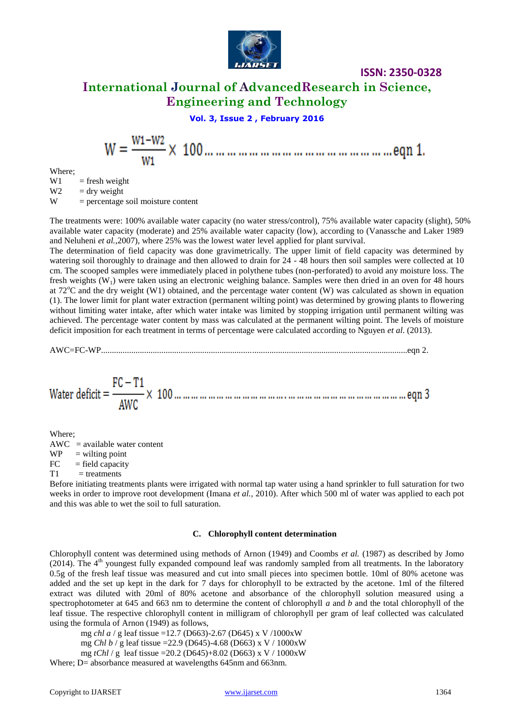

### **International Journal of AdvancedResearch in Science, Engineering and Technology**

**Vol. 3, Issue 2 , February 2016**

Where;

 $W1$  = fresh weight  $W2 =$  dry weight

 $W =$  percentage soil moisture content

The treatments were: 100% available water capacity (no water stress/control), 75% available water capacity (slight), 50% available water capacity (moderate) and 25% available water capacity (low), according to (Vanassche and Laker 1989 and Neluheni *et al.,*2007), where 25% was the lowest water level applied for plant survival.

The determination of field capacity was done gravimetrically. The upper limit of field capacity was determined by watering soil thoroughly to drainage and then allowed to drain for 24 - 48 hours then soil samples were collected at 10 cm. The scooped samples were immediately placed in polythene tubes (non-perforated) to avoid any moisture loss. The fresh weights  $(W_1)$  were taken using an electronic weighing balance. Samples were then dried in an oven for 48 hours at 72 $^{\circ}$ C and the dry weight (W1) obtained, and the percentage water content (W) was calculated as shown in equation (1). The lower limit for plant water extraction (permanent wilting point) was determined by growing plants to flowering without limiting water intake, after which water intake was limited by stopping irrigation until permanent wilting was achieved. The percentage water content by mass was calculated at the permanent wilting point. The levels of moisture deficit imposition for each treatment in terms of percentage were calculated according to Nguyen *et al*. (2013).

AWC=FC-WP..............................................................................................................................................eqn 2.

Where;

 $AWC = available water content$  $WP =$  wilting point  $FC = field capacity$ 

 $T1$  = treatments

Before initiating treatments plants were irrigated with normal tap water using a hand sprinkler to full saturation for two weeks in order to improve root development (Imana *et al.,* 2010). After which 500 ml of water was applied to each pot and this was able to wet the soil to full saturation.

### **C. Chlorophyll content determination**

Chlorophyll content was determined using methods of Arnon (1949) and Coombs *et al.* (1987) as described by Jomo (2014). The  $4<sup>th</sup>$  youngest fully expanded compound leaf was randomly sampled from all treatments. In the laboratory 0.5g of the fresh leaf tissue was measured and cut into small pieces into specimen bottle. 10ml of 80% acetone was added and the set up kept in the dark for 7 days for chlorophyll to be extracted by the acetone. 1ml of the filtered extract was diluted with 20ml of 80% acetone and absorbance of the chlorophyll solution measured using a spectrophotometer at 645 and 663 nm to determine the content of chlorophyll *a* and *b* and the total chlorophyll of the leaf tissue. The respective chlorophyll content in milligram of chlorophyll per gram of leaf collected was calculated using the formula of Arnon (1949) as follows,

mg *chl a* / g leaf tissue =12.7 (D663)-2.67 (D645) x V /1000xW

mg *Chl b* / g leaf tissue =22.9 (D645)-4.68 (D663) x V / 1000xW

mg *tChl* / g leaf tissue =20.2 (D645)+8.02 (D663) x V / 1000xW

Where; D= absorbance measured at wavelengths 645nm and 663nm.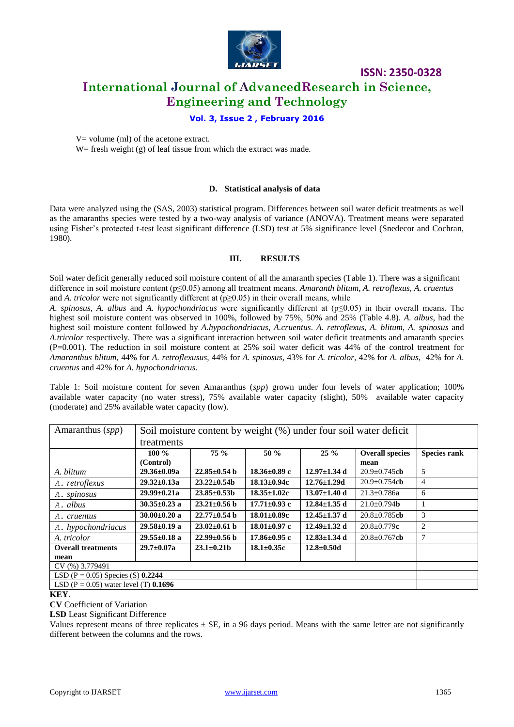

## **ISSN: 2350-0328 International Journal of AdvancedResearch in Science, Engineering and Technology**

### **Vol. 3, Issue 2 , February 2016**

 $V =$  volume (ml) of the acetone extract.

W = fresh weight  $(g)$  of leaf tissue from which the extract was made.

### **D. Statistical analysis of data**

Data were analyzed using the (SAS, 2003) statistical program. Differences between soil water deficit treatments as well as the amaranths species were tested by a two-way analysis of variance (ANOVA). Treatment means were separated using Fisher's protected t-test least significant difference (LSD) test at 5% significance level (Snedecor and Cochran, 1980).

### **III. RESULTS**

Soil water deficit generally reduced soil moisture content of all the amaranth species (Table 1). There was a significant difference in soil moisture content (p≤0.05) among all treatment means. *Amaranth blitum, A. retroflexus, A. cruentus*  and *A. tricolor* were not significantly different at ( $p \ge 0.05$ ) in their overall means, while

*A. spinosus, A. albus* and *A. hypochondriacus* were significantly different at (p≤0.05) in their overall means. The highest soil moisture content was observed in 100%, followed by 75%, 50% and 25% (Table 4.8). *A. albus*, had the highest soil moisture content followed by *A.hypochondriacus*, *A.cruentus*. *A. retroflexus*, *A. blitum*, *A. spinosus* and *A.tricolor* respectively. There was a significant interaction between soil water deficit treatments and amaranth species (P=0.001). The reduction in soil moisture content at 25% soil water deficit was 44% of the control treatment for *Amaranthus blitum,* 44% for *A. retroflexusus*, 44% for *A. spinosus*, 43% for *A. tricolor*, 42% for *A. albus*, 42% for *A. cruentus* and 42% for *A. hypochondriacus.*

Table 1: Soil moisture content for seven Amaranthus (*spp*) grown under four levels of water application; 100% available water capacity (no water stress), 75% available water capacity (slight), 50% available water capacity (moderate) and 25% available water capacity (low).

| Amaranthus $(spp)$                      | Soil moisture content by weight (%) under four soil water deficit |                    |                    |                    |                           |                     |
|-----------------------------------------|-------------------------------------------------------------------|--------------------|--------------------|--------------------|---------------------------|---------------------|
|                                         | treatments                                                        |                    |                    |                    |                           |                     |
|                                         | 100 $\%$                                                          | 75%                | $50 \%$            | $25 \%$            | <b>Overall species</b>    | <b>Species rank</b> |
|                                         | (Control)                                                         |                    |                    |                    | mean                      |                     |
| A. blitum                               | $29.36 \pm 0.09a$                                                 | $22.85 \pm 0.54$ h | $18.36 \pm 0.89$ c | $12.97 \pm 1.34$ d | $20.9 \pm 0.745$ cb       | 5                   |
| A. retroflexus                          | $29.32 \pm 0.13a$                                                 | $23.22 \pm 0.54b$  | $18.13 \pm 0.94c$  | $12.76 \pm 1.29$ d | $20.9 \pm 0.754$ cb       | 4                   |
| A. spinosus                             | $29.99 \pm 0.21a$                                                 | $23.85 \pm 0.53b$  | $18.35 \pm 1.02c$  | $13.07 \pm 1.40$ d | $21.3 \pm 0.786a$         | 6                   |
| A. albus                                | $30.35 \pm 0.23$ a                                                | $23.21 \pm 0.56$ b | $17.71 \pm 0.93$ c | $12.84 \pm 1.35$ d | $21.0 \pm 0.794$ <b>b</b> |                     |
| A. cruentus                             | $30.00 \pm 0.20$ a                                                | $22.77 \pm 0.54$ b | $18.01 \pm 0.89c$  | $12.45 \pm 1.37$ d | $20.8 \pm 0.785$ cb       | 3                   |
| A. hypochondriacus                      | $29.58 \pm 0.19$ a                                                | $23.02 \pm 0.61$ b | $18.01 \pm 0.97$ c | 12.49 $\pm$ 1.32 d | $20.8 \pm 0.779c$         | $\overline{c}$      |
| A. tricolor                             | $29.55 \pm 0.18$ a                                                | $22.99 \pm 0.56$ b | $17.86 \pm 0.95$ c | $12.83 \pm 1.34$ d | $20.8 \pm 0.767$ cb       | 7                   |
| <b>Overall treatments</b>               | $29.7 \pm 0.07a$                                                  | $23.1 \pm 0.21 b$  | $18.1 \pm 0.35c$   | $12.8 \pm 0.50$ d  |                           |                     |
| mean                                    |                                                                   |                    |                    |                    |                           |                     |
| CV (%) 3.779491                         |                                                                   |                    |                    |                    |                           |                     |
| LSD (P = 0.05) Species (S) $0.2244$     |                                                                   |                    |                    |                    |                           |                     |
| LSD (P = 0.05) water level (T) $0.1696$ |                                                                   |                    |                    |                    |                           |                     |

**KEY**.

**CV** Coefficient of Variation

**LSD** Least Significant Difference

Values represent means of three replicates  $\pm$  SE, in a 96 days period. Means with the same letter are not significantly different between the columns and the rows.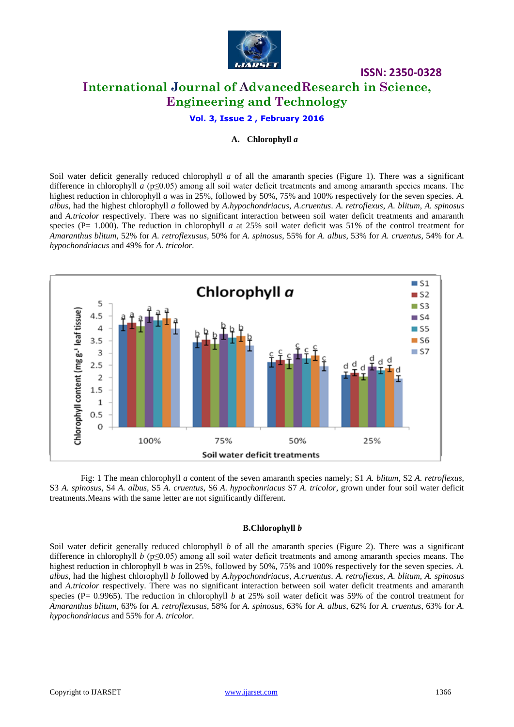

# **ISSN: 2350-0328 International Journal of AdvancedResearch in Science, Engineering and Technology**

**Vol. 3, Issue 2 , February 2016**

### **A. Chlorophyll** *a*

Soil water deficit generally reduced chlorophyll *a* of all the amaranth species (Figure 1). There was a significant difference in chlorophyll *a* (p≤0.05) among all soil water deficit treatments and among amaranth species means. The highest reduction in chlorophyll *a* was in 25%, followed by 50%, 75% and 100% respectively for the seven species. *A*. *albus*, had the highest chlorophyll *a* followed by *A.hypochondriacus*, *A.cruentus*. *A. retroflexus*, *A. blitum*, *A. spinosus* and *A.tricolor* respectively. There was no significant interaction between soil water deficit treatments and amaranth species (P= 1.000). The reduction in chlorophyll *a* at 25% soil water deficit was 51% of the control treatment for *Amaranthus blitum,* 52% for *A. retroflexusus*, 50% for *A. spinosus*, 55% for *A. albus*, 53% for *A. cruentus*, 54% for *A. hypochondriacus* and 49% for *A. tricolor.*



Fig: 1 The mean chlorophyll *a* content of the seven amaranth species namely; S1 *A. blitum*, S2 *A. retroflexus,* S3 *A. spinosus*, S4 *A. albus*, S5 *A. cruentus*, S6 *A. hypochonriacus* S7 *A. tricolor,* grown under four soil water deficit treatments.Means with the same letter are not significantly different.

#### **B.Chlorophyll** *b*

Soil water deficit generally reduced chlorophyll *b* of all the amaranth species (Figure 2). There was a significant difference in chlorophyll *b* (p≤0.05) among all soil water deficit treatments and among amaranth species means. The highest reduction in chlorophyll *b* was in 25%, followed by 50%, 75% and 100% respectively for the seven species. *A*. *albus*, had the highest chlorophyll *b* followed by *A.hypochondriacus*, *A.cruentus*. *A. retroflexus*, *A. blitum*, *A. spinosus* and *A.tricolor* respectively. There was no significant interaction between soil water deficit treatments and amaranth species (P=  $0.9965$ ). The reduction in chlorophyll *b* at 25% soil water deficit was 59% of the control treatment for *Amaranthus blitum,* 63% for *A. retroflexusus*, 58% for *A. spinosus*, 63% for *A. albus*, 62% for *A. cruentus*, 63% for *A. hypochondriacus* and 55% for *A. tricolor.*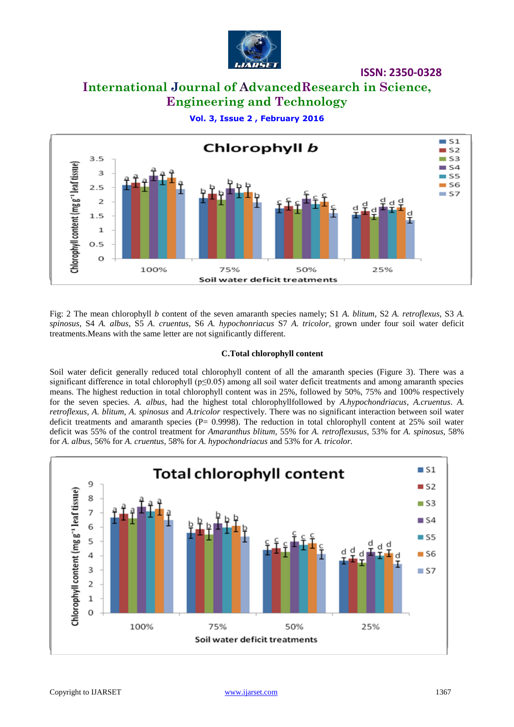

# **International Journal of AdvancedResearch in Science, Engineering and Technology**





Fig: 2 The mean chlorophyll *b* content of the seven amaranth species namely; S1 *A. blitum*, S2 *A. retroflexus,* S3 *A. spinosus*, S4 *A. albus*, S5 *A. cruentus*, S6 *A. hypochonriacus* S7 *A. tricolor,* grown under four soil water deficit treatments.Means with the same letter are not significantly different.

### **C.Total chlorophyll content**

Soil water deficit generally reduced total chlorophyll content of all the amaranth species (Figure 3). There was a significant difference in total chlorophyll (p≤0.05) among all soil water deficit treatments and among amaranth species means. The highest reduction in total chlorophyll content was in 25%, followed by 50%, 75% and 100% respectively for the seven species. *A. albus*, had the highest total chlorophyllfollowed by *A.hypochondriacus*, *A.cruentus*. *A. retroflexus*, *A. blitum*, *A. spinosus* and *A.tricolor* respectively. There was no significant interaction between soil water deficit treatments and amaranth species ( $P= 0.9998$ ). The reduction in total chlorophyll content at 25% soil water deficit was 55% of the control treatment for *Amaranthus blitum,* 55% for *A. retroflexusus*, 53% for *A. spinosus*, 58% for *A. albus*, 56% for *A. cruentus*, 58% for *A. hypochondriacus* and 53% for *A. tricolor.*

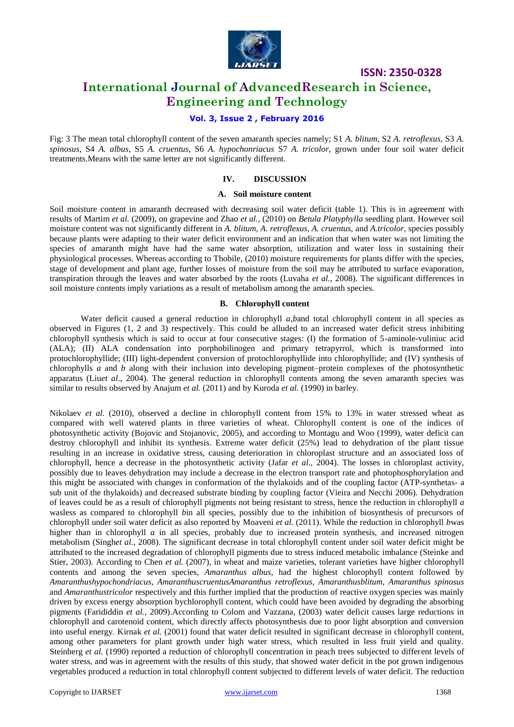

### **International Journal of AdvancedResearch in Science, Engineering and Technology**

### **Vol. 3, Issue 2 , February 2016**

Fig: 3 The mean total chlorophyll content of the seven amaranth species namely; S1 *A. blitum*, S2 *A. retroflexus,* S3 *A. spinosus*, S4 *A. albus*, S5 *A. cruentus*, S6 *A. hypochonriacus* S7 *A. tricolor,* grown under four soil water deficit treatments.Means with the same letter are not significantly different.

### **IV. DISCUSSION**

#### **A. Soil moisture content**

Soil moisture content in amaranth decreased with decreasing soil water deficit (table 1). This is in agreement with results of Martim *et al.* (2009), on grapevine and Zhao *et al.,* (2010) on *Betula Platyphylla* seedling plant. However soil moisture content was not significantly different in *A. blitum, A. retroflexus, A. cruentus,* and *A.tricolor,* species possibly because plants were adapting to their water deficit environment and an indication that when water was not limiting the species of amaranth might have had the same water absorption, utilization and water loss in sustaining their physiological processes. Whereas according to Thobile*,* (2010) moisture requirements for plants differ with the species, stage of development and plant age, further losses of moisture from the soil may be attributed to surface evaporation, transpiration through the leaves and water absorbed by the roots (Luvaha *et al.*, 2008). The significant differences in soil moisture contents imply variations as a result of metabolism among the amaranth species.

### **B. Chlorophyll content**

Water deficit caused a general reduction in chlorophyll *a*,*b*and total chlorophyll content in all species as observed in Figures (1, 2 and 3) respectively. This could be alluded to an increased water deficit stress inhibiting chlorophyll synthesis which is said to occur at four consecutive stages: (I) the formation of 5-aminole-vuliniuc acid (ALA); (II) ALA condensation into porphobilinogen and primary tetrapyrrol, which is transformed into protochlorophyllide; (III) light-dependent conversion of protochlorophyllide into chlorophyllide; and (IV) synthesis of chlorophylls *a* and *b* along with their inclusion into developing pigment–protein complexes of the photosynthetic apparatus (Liu*et al*., 2004). The general reduction in chlorophyll contents among the seven amaranth species was similar to results observed by Anajum *et al.* (2011) and by Kuroda *et al.* (1990) in barley.

Nikolaev *et al.* (2010), observed a decline in chlorophyll content from 15% to 13% in water stressed wheat as compared with well watered plants in three varieties of wheat. Chlorophyll content is one of the indices of photosynthetic activity (Bojovic and Stojanovic, 2005), and according to Montagu and Woo (1999), water deficit can destroy chlorophyll and inhibit its synthesis. Extreme water deficit (25%) lead to dehydration of the plant tissue resulting in an increase in oxidative stress, causing deterioration in chloroplast structure and an associated loss of chlorophyll, hence a decrease in the photosynthetic activity (Jafar *et al.,* 2004). The losses in chloroplast activity, possibly due to leaves dehydration may include a decrease in the electron transport rate and photophosphorylation and this might be associated with changes in conformation of the thylakoids and of the coupling factor (ATP-synthetas- a sub unit of the thylakoids) and decreased substrate binding by coupling factor (Vieira and Necchi 2006). Dehydration of leaves could be as a result of chlorophyll pigments not being resistant to stress, hence the reduction in chlorophyll *a*  wasless as compared to chlorophyll *b*in all species, possibly due to the inhibition of biosynthesis of precursors of chlorophyll under soil water deficit as also reported by Moaveni *et al.* (2011). While the reduction in chlorophyll *b*was higher than in chlorophyll *a* in all species, probably due to increased protein synthesis, and increased nitrogen metabolism (Singh*et al.,* 2008). The significant decrease in total chlorophyll content under soil water deficit might be attributed to the increased degradation of chlorophyll pigments due to stress induced metabolic imbalance (Steinke and Stier, 2003). According to Chen *et al.* (2007), in wheat and maize varieties, tolerant varieties have higher chlorophyll contents and among the seven species, *Amaranthus albus*, had the highest chlorophyll content followed by *Amaranthushypochondriacus*, *AmaranthuscruentusAmaranthus retroflexus*, *Amaranthusblitum*, *Amaranthus spinosus* and *Amaranthustricolor* respectively and this further implied that the production of reactive oxygen species was mainly driven by excess energy absorption bychlorophyll content, which could have been avoided by degrading the absorbing pigments (Farididdin *et al.,* 2009).According to Colom and Vazzana, (2003) water deficit causes large reductions in chlorophyll and carotenoid content, which directly affects photosynthesis due to poor light absorption and conversion into useful energy. Kirnak *et al.* (2001) found that water deficit resulted in significant decrease in chlorophyll content, among other parameters for plant growth under high water stress, which resulted in less fruit yield and quality. Steinberg *et al.* (1990) reported a reduction of chlorophyll concentration in peach trees subjected to different levels of water stress, and was in agreement with the results of this study, that showed water deficit in the pot grown indigenous vegetables produced a reduction in total chlorophyll content subjected to different levels of water deficit. The reduction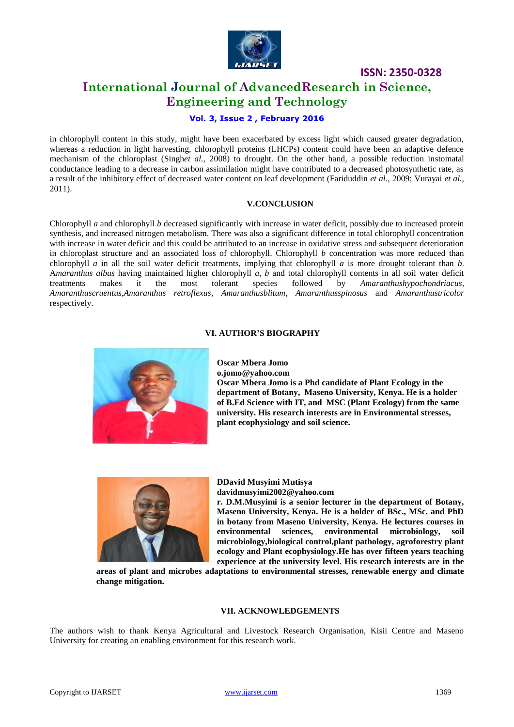

### **International Journal of AdvancedResearch in Science, Engineering and Technology**

### **Vol. 3, Issue 2 , February 2016**

in chlorophyll content in this study, might have been exacerbated by excess light which caused greater degradation, whereas a reduction in light harvesting, chlorophyll proteins (LHCPs) content could have been an adaptive defence mechanism of the chloroplast (Singh*et al.,* 2008) to drought. On the other hand, a possible reduction instomatal conductance leading to a decrease in carbon assimilation might have contributed to a decreased photosynthetic rate, as a result of the inhibitory effect of decreased water content on leaf development (Fariduddin *et al.,* 2009; Vurayai *et al.,* 2011).

### **V.CONCLUSION**

Chlorophyll *a* and chlorophyll *b* decreased significantly with increase in water deficit, possibly due to increased protein synthesis, and increased nitrogen metabolism. There was also a significant difference in total chlorophyll concentration with increase in water deficit and this could be attributed to an increase in oxidative stress and subsequent deterioration in chloroplast structure and an associated loss of chlorophyll. Chlorophyll *b* concentration was more reduced than chlorophyll *a* in all the soil water deficit treatments, implying that chlorophyll *a* is more drought tolerant than *b*. A*maranthus albus* having maintained higher chlorophyll *a, b* and total chlorophyll contents in all soil water deficit treatments makes it the most tolerant species followed by *Amaranthushypochondriacus*, *Amaranthuscruentus,Amaranthus retroflexus*, *Amaranthusblitum*, *Amaranthusspinosus* and *Amaranthustricolor*  respectively.

### **VI. AUTHOR'S BIOGRAPHY**



**Oscar Mbera Jomo o.jomo@yahoo.com Oscar Mbera Jomo is a Phd candidate of Plant Ecology in the department of Botany, Maseno University, Kenya. He is a holder of B.Ed Science with IT, and MSC (Plant Ecology) from the same university. His research interests are in Environmental stresses, plant ecophysiology and soil science.**



# **DDavid Musyimi Mutisya**

**davidmusyimi2002@yahoo.com**

**r. D.M.Musyimi is a senior lecturer in the department of Botany, Maseno University, Kenya. He is a holder of BSc., MSc. and PhD in botany from Maseno University, Kenya. He lectures courses in environmental sciences, environmental microbiology, soil microbiology,biological control,plant pathology, agroforestry plant ecology and Plant ecophysiology.He has over fifteen years teaching experience at the university level. His research interests are in the** 

**areas of plant and microbes adaptations to environmental stresses, renewable energy and climate change mitigation.** 

### **VII. ACKNOWLEDGEMENTS**

The authors wish to thank Kenya Agricultural and Livestock Research Organisation, Kisii Centre and Maseno University for creating an enabling environment for this research work.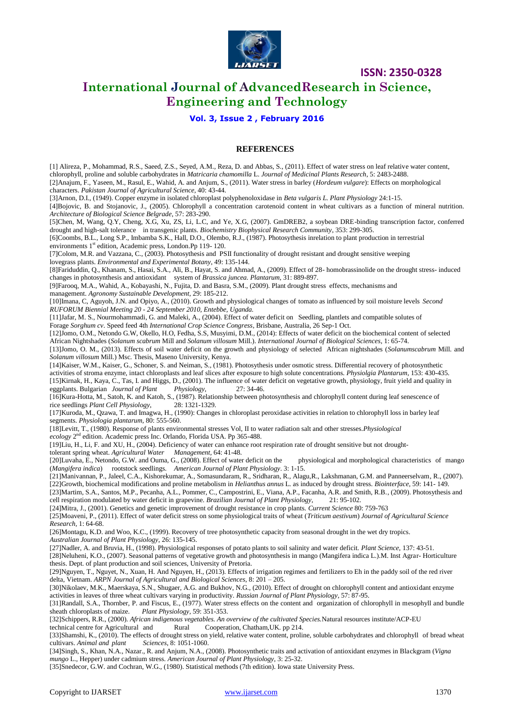

### **International Journal of AdvancedResearch in Science, Engineering and Technology**

### **Vol. 3, Issue 2 , February 2016**

### **REFERENCES**

[1] Alireza, P., Mohammad, R.S., Saeed, Z.S., Seyed, A.M., Reza, D. and Abbas, S., (2011). Effect of water stress on leaf relative water content, chlorophyll, proline and soluble carbohydrates in *Matricaria chamomilla* L. *Journal of Medicinal Plants Research*, 5: 2483-2488. [2]Anajum, F., Yaseen, M., Rasul, E., Wahid, A. and Anjum, S., (2011). Water stress in barley (*Hordeum vulgare*): Effects on morphological characters. *Pakistan Journal of Agricultural Science,* 40: 43-44. [3]Arnon, D.I., (1949). Copper enzyme in isolated chloroplast polyphenoloxidase in *Beta vulgaris L. Plant Physiology* 24:1-15. [4]Bojovic, B. and Stojanovic, J., (2005). Chlorophyll a concentration carotenoid content in wheat cultivars as a function of mineral nutrition. *Architecture of Biological Science Belgrade*, 57: 283-290.

[5]Chen, M, Wang, Q.Y, Cheng, X.G, Xu, ZS, Li, L.C, and Ye, X.G, (2007). GmDREB2, a soybean DRE-binding transcription factor, conferred drought and high-salt tolerance in transgenic plants. *Biochemistry Biophysical Research Community*, 353: 299-305.

[6]Coombs, B.L., Long S.P., Imbamba S.K., Hall, D.O., Olembo, R.J., (1987). Photosythesis inrelation to plant production in terrestrial environments 1<sup>st</sup> edition, Academic press, London.Pp 119- 120.

[7]Colom, M.R. and Vazzana, C., (2003). Photosythesis and PSII functionality of drought resistant and drought sensitive weeping lovegrass plants. *Environmental and Experimental Botany*, 49: 135-144.

[8]Fariduddin, Q., Khanam, S., Hasai, S.A., Ali, B., Hayat, S. and Ahmad, A., (2009). Effect of 28- homobrassinolide on the drought stress- induced changes in photosynthesis and antioxidant system of *Brassica juncea. Plantarum*, 31: 889-897.

[9]Farooq, M.A., Wahid, A., Kobayashi, N., Fujita, D. and Basra, S.M., (2009). Plant drought stress effects, mechanisms and management. *Agronomy Sustainable Development*, 29: 185-212.

[10]Imana, C, Aguyoh, J.N. and Opiyo, A., (2010). Growth and physiological changes of tomato as influenced by soil moisture levels *Second RUFORUM Biennial Meeting 20 - 24 September 2010, Entebbe, Uganda.*

[11]Jafar, M. S., Nourmohammadi, G. and Maleki, A., (2004). Effect of water deficit on Seedling, plantlets and compatible solutes of Forage *Sorghum cv*. Speed feed 4th *International Crop Science Congress*, Brisbane, Australia, 26 Sep-1 Oct.

[12]Jomo, O.M., Netondo G.W, Okello, H.O, Fedha, S.S, Musyimi, D.M., (2014): Effects of water deficit on the biochemical content of selected African Nightshades (*Solanum scabrum* Mill and *Solanum villosum* Mill.). *International Journal of Biological Sciences*, 1: 65-74.

[13]Jomo, O. M., (2013). Effects of soil water deficit on the growth and physiology of selected African nightshades (*Solanumscabrum* Mill. and *Solanum villosum* Mill.) Msc. Thesis, Maseno University, Kenya.

[14]Kaiser, W.M., Kaiser, G., Schoner, S. and Neiman, S., (1981). Photosythesis under osmotic stress. Differential recovery of photosynthetic activities of stroma enzyme, intact chloroplasts and leaf slices after exposure to high solute concentrations. *Physiolgia Plantarum*, 153: 430-435. [15]Kirnak, H., Kaya, C., Tas, I. and Higgs, D., (2001). The influence of water deficit on vegetative growth, physiology, fruit yield and quality in eggplants. Bulgarian *Journal of Plant* Physiology,  $27:34-46$ . eggplants. Bulgarian *Journal of Plant* Physiology,

[16]Kura-Hotta, M., Satoh, K. and Katoh, S., (1987). Relationship between photosynthesis and chlorophyll content during leaf senescence of rice seedlings *Plant Cell Physiology*, 28: 1321-1329.

[17]Kuroda, M., Qzawa, T. and Imagwa, H., (1990): Changes in chloroplast peroxidase activities in relation to chlorophyll loss in barley leaf segments. *Physiologia plantarum,* 80: 555-560.

[18]Levitt, T., (1980). Response of plants environmental stresses Vol, II to water radiation salt and other stresses.*Physiological* 

ecology<sup>2<sup>nd</sup> edition. Academic press Inc. Orlando, Florida USA. Pp 365-488.</sup> [19]Liu, H., Li, F. and XU, H., (2004). Deficiency of water can enhance root respiration rate of drought sensitive but not drought-

tolerant spring wheat. *Agricultural Water Management,* 64: 41-48.

[20]Luvaha, E., Netondo, G.W. and Ouma, G., (2008). Effect of water deficit on the physiological and morphological characteristics of mango (*Mangifera indica*) rootstock seedlings*. American Journal of Plant Physiology*. 3: 1-15.

[21]Manivannan, P., Jaleel, C.A., Kishorekumar, A., Somasundaram, R., Sridharan, R., Alagu,R., Lakshmanan, G.M. and Panneerselvam, R., (2007). [22]Growth, biochemical modifications and proline metabolism in *Helianthus annus* L. as induced by drought stress. *Biointerface*, 59: 141- 149.

[23]Martim, S.A., Santos, M.P., Pecanha, A.L., Pommer, C., Campostrini, E., Viana, A.P., Facanha, A.R. and Smith, R.B., (2009). Photosythesis and cell respiration modulated by water deficit in grapevine. *Brazilian Journal of Plant Physiology*, 21: 95-102.

[24]Mitra, J., (2001). Genetics and genetic improvement of drought resistance in crop plants. *Current Science* 80: 759-763

[25]Moaveni, P., (2011). Effect of water deficit stress on some physiological traits of wheat (*Triticum aestivum*) *Journal of Agricultural Science Research,* 1: 64-68.

[26]Montagu, K.D. and Woo, K.C., (1999). Recovery of tree photosynthetic capacity from seasonal drought in the wet dry tropics. *Australian Journal of Plant Physiology*, 26: 135-145.

[27]Nadler, A. and Bruvia, H., (1998). Physiological responses of potato plants to soil salinity and water deficit. *Plant Science*, 137: 43-51. [28]Neluheni, K.O., (2007). Seasonal patterns of vegetative growth and photosynthesis in mango (Mangifera indica L.).M. Inst Agrar- Horticulture thesis. Dept. of plant production and soil sciences, University of Pretoria.

[29]Nguyen, T., Nguyet, N., Xuan, H. And Nguyen, H., (2013). Effects of irrigation regimes and fertilizers to Eh in the paddy soil of the red river delta, Vietnam. *ARPN Journal of Agricultural and Biological Sciences,* 8: 201 – 205.

[30]Nikolaev, M.K., Maerskaya, S.N., Shugaer, A.G. and Bukhov, N.G., (2010). Effect of drought on chlorophyll content and antioxidant enzyme activities in leaves of three wheat cultivars varying in productivity. *Russian Journal of Plant Physiology*, 57: 87-95.

[31]Randall, S.A., Thornber, P. and Fiscus, E., (1977). Water stress effects on the content and organization of chlorophyll in mesophyll and bundle sheath chloroplasts of maize. *Plant Physiology,* 59: 351-353.

[32]Schippers, R.R., (2000). *African indigenous vegetables. An overview of the cultivated Species.*Natural resources institute/ACP-EU

technical centre for Agricultural and Rural [33]Shamshi, K., (2010). The effects of drought stress on yield, relative water content, proline, soluble carbohydrates and chlorophyll of bread wheat cultivars. *Animal and plant Sciences*, 8: 1051-1060.

[34]Singh, S., Khan, N.A., Nazar., R. and Anjum, N.A., (2008). Photosynthetic traits and activation of antioxidant enzymes in Blackgram (*Vigna mungo* L., Hepper) under cadmium stress. *American Journal of Plant Physiology,* 3: 25-32.

[35]Snedecor, G.W. and Cochran, W.G., (1980). Statistical methods (7th edition). Iowa state University Press.